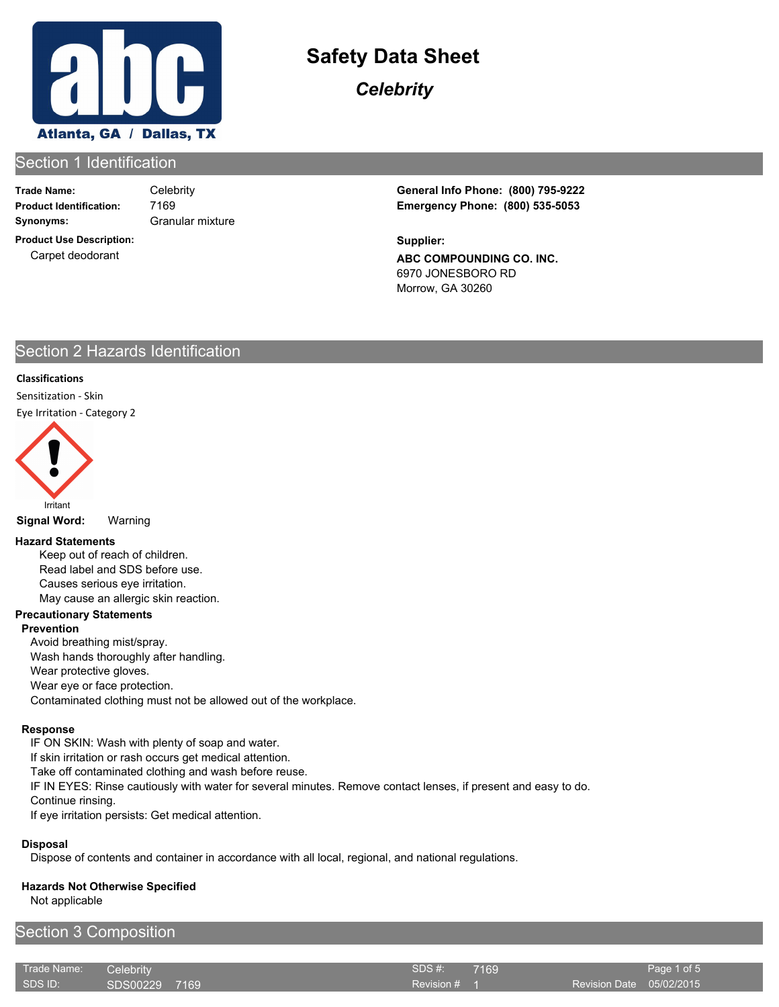

*Celebrity*

## Section 1 Identification

**Trade Name: Synonyms:** Granular mixture

7169

**Product Use Description:** Carpet deodorant

**Product Identification: Emergency Phone: (800) 535-5053** Celebrity **General Info Phone: (800) 795-9222**

> **ABC COMPOUNDING CO. INC.** 6970 JONESBORO RD Morrow, GA 30260 **Supplier:**

## Section 2 Hazards Identification

#### **Classifications**

Sensitization - Skin Eye Irritation - Category 2



**Signal Word:** Warning

#### **Hazard Statements**

Keep out of reach of children. Read label and SDS before use. Causes serious eye irritation. May cause an allergic skin reaction.

#### **Precautionary Statements**

#### **Prevention**

Avoid breathing mist/spray. Wash hands thoroughly after handling. Wear protective gloves. Wear eye or face protection. Contaminated clothing must not be allowed out of the workplace.

#### **Response**

IF ON SKIN: Wash with plenty of soap and water.

If skin irritation or rash occurs get medical attention.

Take off contaminated clothing and wash before reuse.

IF IN EYES: Rinse cautiously with water for several minutes. Remove contact lenses, if present and easy to do.

Continue rinsing.

If eye irritation persists: Get medical attention.

#### **Disposal**

Dispose of contents and container in accordance with all local, regional, and national regulations.

#### **Hazards Not Otherwise Specified**

Not applicable

## Section 3 Composition

| Trade Name: | <b>Celebrity</b> | SDS #:       | 7169                     | Page 1 of 5 |
|-------------|------------------|--------------|--------------------------|-------------|
| SDS ID:     | SDS00229 7169    | Revision # 1 | Revision Date 05/02/2015 |             |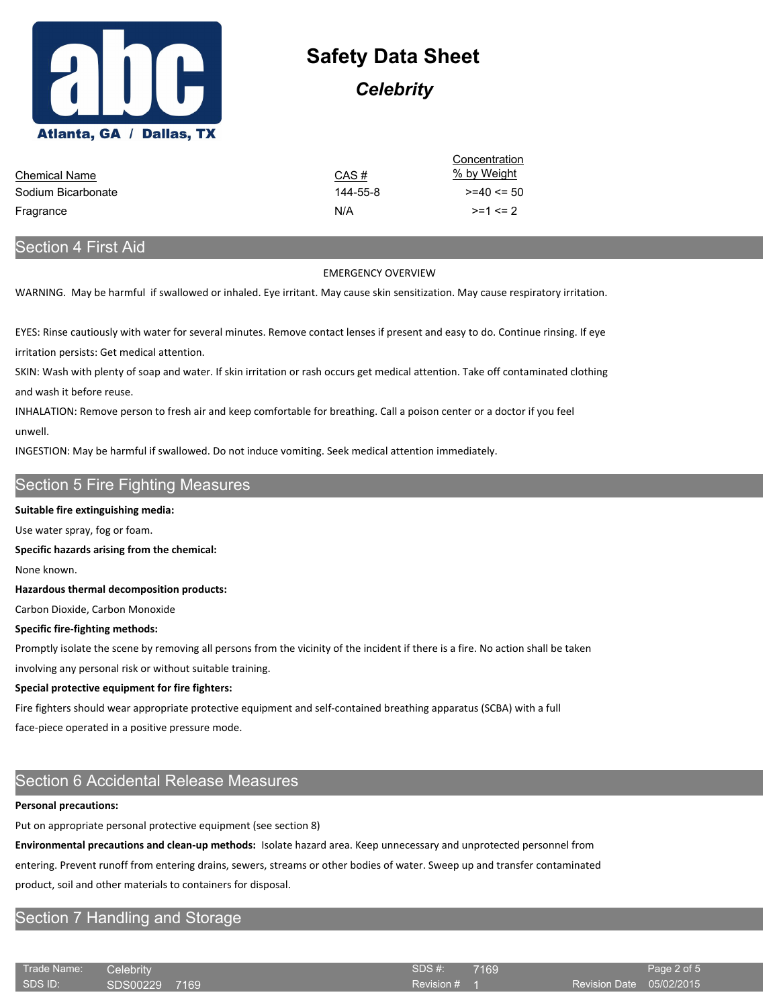

## *Celebrity*

|                      |          | Concentration  |
|----------------------|----------|----------------|
| <b>Chemical Name</b> | CAS#     | % by Weight    |
| Sodium Bicarbonate   | 144-55-8 | $>= 40 \le 50$ |
| Fragrance            | N/A      | $>=1 < 2$      |

## Section 4 First Aid

#### EMERGENCY OVERVIEW

WARNING. May be harmful if swallowed or inhaled. Eye irritant. May cause skin sensitization. May cause respiratory irritation.

EYES: Rinse cautiously with water for several minutes. Remove contact lenses if present and easy to do. Continue rinsing. If eye irritation persists: Get medical attention.

SKIN: Wash with plenty of soap and water. If skin irritation or rash occurs get medical attention. Take off contaminated clothing and wash it before reuse.

INHALATION: Remove person to fresh air and keep comfortable for breathing. Call a poison center or a doctor if you feel unwell.

INGESTION: May be harmful if swallowed. Do not induce vomiting. Seek medical attention immediately.

## Section 5 Fire Fighting Measures

#### **Suitable fire extinguishing media:**

Use water spray, fog or foam.

**Specific hazards arising from the chemical:**

None known.

**Hazardous thermal decomposition products:**

Carbon Dioxide, Carbon Monoxide

#### **Specific fire-fighting methods:**

Promptly isolate the scene by removing all persons from the vicinity of the incident if there is a fire. No action shall be taken

involving any personal risk or without suitable training.

#### **Special protective equipment for fire fighters:**

Fire fighters should wear appropriate protective equipment and self-contained breathing apparatus (SCBA) with a full

face-piece operated in a positive pressure mode.

## Section 6 Accidental Release Measures

#### **Personal precautions:**

Put on appropriate personal protective equipment (see section 8)

**Environmental precautions and clean-up methods:** Isolate hazard area. Keep unnecessary and unprotected personnel from

entering. Prevent runoff from entering drains, sewers, streams or other bodies of water. Sweep up and transfer contaminated

product, soil and other materials to containers for disposal.

## Section 7 Handling and Storage

| Trade Name: | Celebrity     |  | SDS#:   |
|-------------|---------------|--|---------|
| SDS ID:     | SDS00229 7169 |  | Revisio |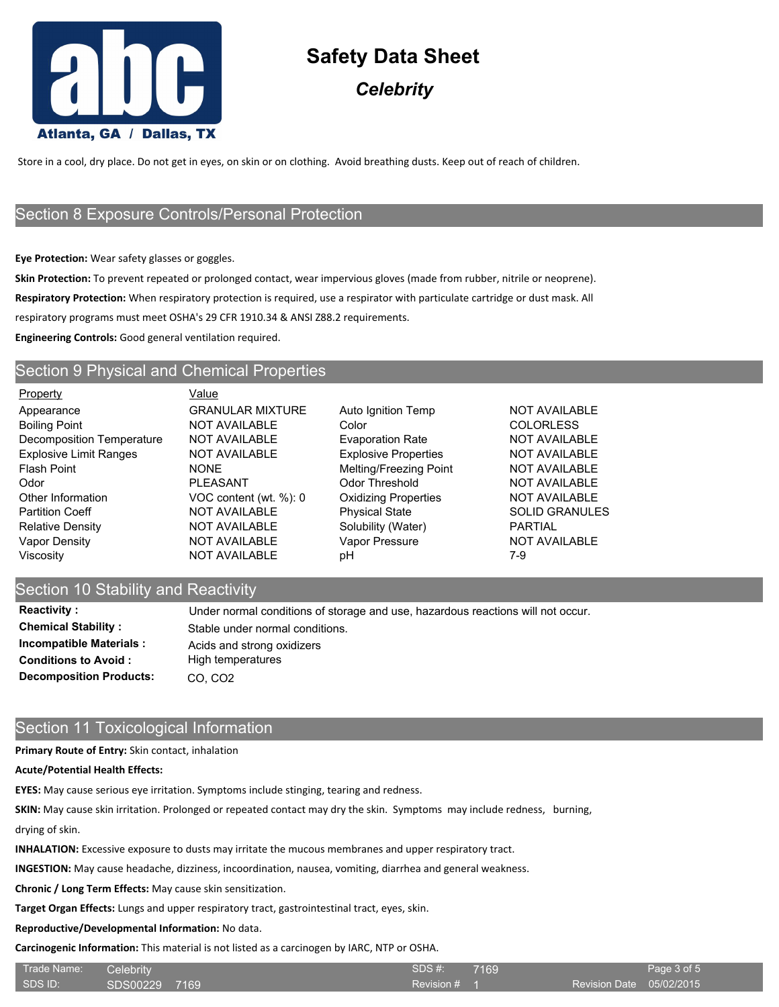

## *Celebrity*

Store in a cool, dry place. Do not get in eyes, on skin or on clothing. Avoid breathing dusts. Keep out of reach of children.

## Section 8 Exposure Controls/Personal Protection

**Eye Protection:** Wear safety glasses or goggles.

**Skin Protection:** To prevent repeated or prolonged contact, wear impervious gloves (made from rubber, nitrile or neoprene). **Respiratory Protection:** When respiratory protection is required, use a respirator with particulate cartridge or dust mask. All

respiratory programs must meet OSHA's 29 CFR 1910.34 & ANSI Z88.2 requirements.

**Engineering Controls:** Good general ventilation required.

### Section 9 Physical and Chemical Properties

| <b>Property</b>               | Value                   |                             |                       |
|-------------------------------|-------------------------|-----------------------------|-----------------------|
| Appearance                    | <b>GRANULAR MIXTURE</b> | Auto Ignition Temp          | <b>NOT AVAILABLE</b>  |
| <b>Boiling Point</b>          | <b>NOT AVAILABLE</b>    | Color                       | <b>COLORLESS</b>      |
| Decomposition Temperature     | NOT AVAILABLE           | <b>Evaporation Rate</b>     | <b>NOT AVAILABLE</b>  |
| <b>Explosive Limit Ranges</b> | <b>NOT AVAILABLE</b>    | <b>Explosive Properties</b> | <b>NOT AVAILABLE</b>  |
| Flash Point                   | <b>NONE</b>             | Melting/Freezing Point      | <b>NOT AVAILABLE</b>  |
| Odor                          | <b>PLEASANT</b>         | Odor Threshold              | <b>NOT AVAILABLE</b>  |
| Other Information             | VOC content (wt. %): 0  | <b>Oxidizing Properties</b> | <b>NOT AVAILABLE</b>  |
| <b>Partition Coeff</b>        | <b>NOT AVAILABLE</b>    | <b>Physical State</b>       | <b>SOLID GRANULES</b> |
| Relative Density              | <b>NOT AVAILABLE</b>    | Solubility (Water)          | <b>PARTIAL</b>        |
| Vapor Density                 | <b>NOT AVAILABLE</b>    | Vapor Pressure              | <b>NOT AVAILABLE</b>  |
| Viscositv                     | <b>NOT AVAILABLE</b>    | рH                          | 7-9                   |
|                               |                         |                             |                       |

## Section 10 Stability and Reactivity

| <b>Reactivity:</b>             | Under normal conditions o  |
|--------------------------------|----------------------------|
| <b>Chemical Stability:</b>     | Stable under normal condi  |
| <b>Incompatible Materials:</b> | Acids and strong oxidizers |
| <b>Conditions to Avoid:</b>    | High temperatures          |
| <b>Decomposition Products:</b> | CO, CO <sub>2</sub>        |

## Section 11 Toxicological Information

#### **Primary Route of Entry:** Skin contact, inhalation

#### **Acute/Potential Health Effects:**

**EYES:** May cause serious eye irritation. Symptoms include stinging, tearing and redness.

**SKIN:** May cause skin irritation. Prolonged or repeated contact may dry the skin. Symptoms may include redness, burning,

under normal conditions.

drying of skin.

**INHALATION:** Excessive exposure to dusts may irritate the mucous membranes and upper respiratory tract.

**INGESTION:** May cause headache, dizziness, incoordination, nausea, vomiting, diarrhea and general weakness.

**Chronic / Long Term Effects:** May cause skin sensitization.

**Target Organ Effects:** Lungs and upper respiratory tract, gastrointestinal tract, eyes, skin.

**Reproductive/Developmental Information:** No data.

**Carcinogenic Information:** This material is not listed as a carcinogen by IARC, NTP or OSHA.

| Trade Name: Celebrity |               | SDS #:<br>7169 | Page 3 of 5              |
|-----------------------|---------------|----------------|--------------------------|
| SDS ID:               | SDS00229 7169 | Revision # 1   | Revision Date 05/02/2015 |

normal conditions of storage and use, hazardous reactions will not occur.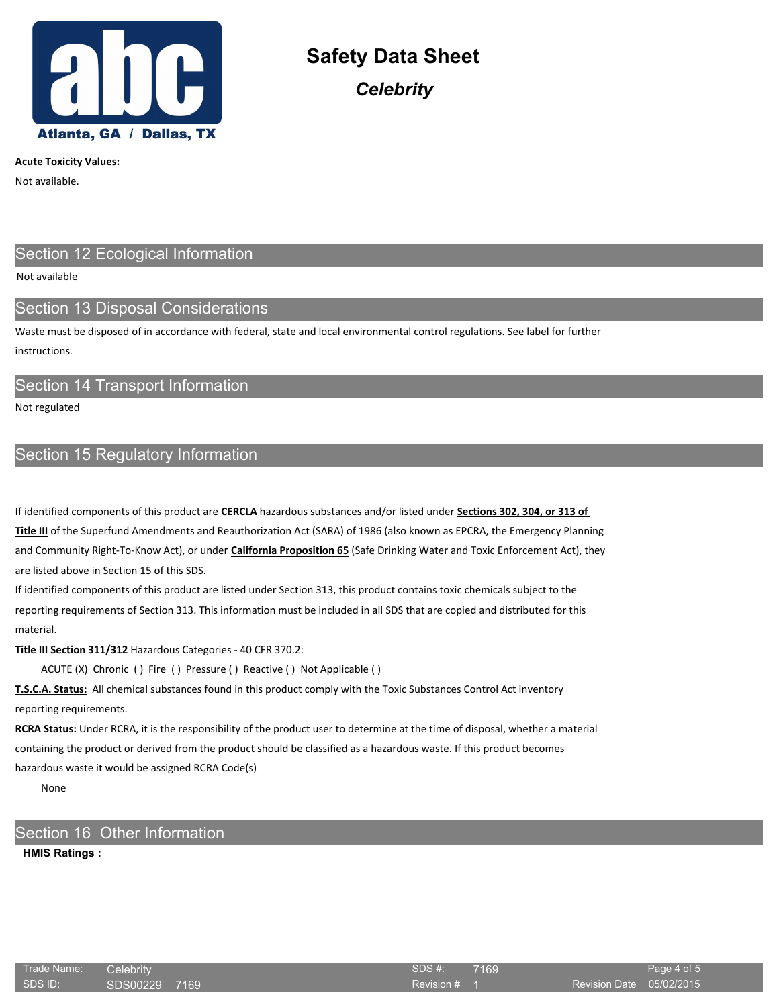

**Acute Toxicity Values:**

Not available.

## Section 12 Ecological Information

#### Not available

## Section 13 Disposal Considerations

Waste must be disposed of in accordance with federal, state and local environmental control regulations. See label for further **instructions** 

## Section 14 Transport Information

Not regulated

## Section 15 Regulatory Information

If identified components of this product are **CERCLA** hazardous substances and/or listed under **Sections 302, 304, or 313 of Title III** of the Superfund Amendments and Reauthorization Act (SARA) of 1986 (also known as EPCRA, the Emergency Planning and Community Right-To-Know Act), or under **California Proposition 65** (Safe Drinking Water and Toxic Enforcement Act), they are listed above in Section 15 of this SDS.

If identified components of this product are listed under Section 313, this product contains toxic chemicals subject to the reporting requirements of Section 313. This information must be included in all SDS that are copied and distributed for this material.

**Title III Section 311/312** Hazardous Categories - 40 CFR 370.2:

ACUTE (X) Chronic ( ) Fire ( ) Pressure ( ) Reactive ( ) Not Applicable ( )

**T.S.C.A. Status:** All chemical substances found in this product comply with the Toxic Substances Control Act inventory reporting requirements.

**RCRA Status:** Under RCRA, it is the responsibility of the product user to determine at the time of disposal, whether a material containing the product or derived from the product should be classified as a hazardous waste. If this product becomes hazardous waste it would be assigned RCRA Code(s)

None

## Section 16 Other Information

#### **HMIS Ratings :**

| Trade Name: | Celebrity     | SDS#:   |
|-------------|---------------|---------|
| SDS ID:     | SDS00229 7169 | Revisio |